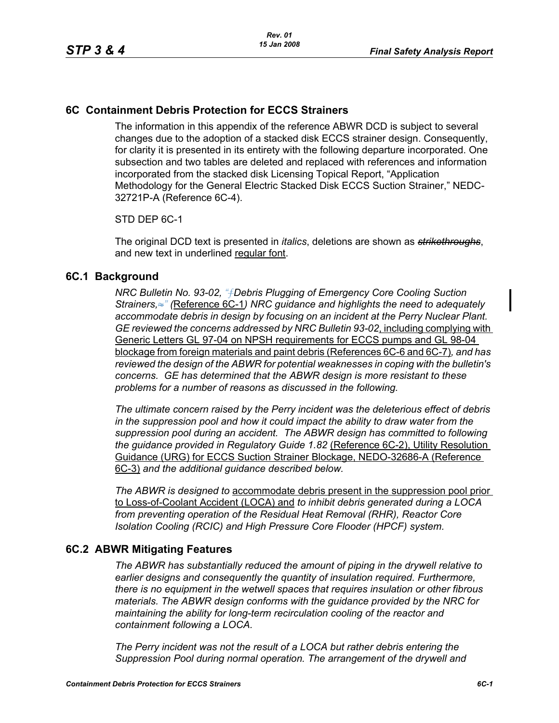# **6C Containment Debris Protection for ECCS Strainers**

The information in this appendix of the reference ABWR DCD is subject to several changes due to the adoption of a stacked disk ECCS strainer design. Consequently, for clarity it is presented in its entirety with the following departure incorporated. One subsection and two tables are deleted and replaced with references and information incorporated from the stacked disk Licensing Topical Report, "Application Methodology for the General Electric Stacked Disk ECCS Suction Strainer," NEDC-32721P-A (Reference 6C-4).

## STD DEP 6C-1

The original DCD text is presented in *italics*, deletions are shown as *strikethroughs*, and new text in underlined regular font.

## **6C.1 Background**

*NRC Bulletin No. 93-02, "*ƒ*Debris Plugging of Emergency Core Cooling Suction Strainers,*≈*" (*Reference 6C-1*) NRC guidance and highlights the need to adequately accommodate debris in design by focusing on an incident at the Perry Nuclear Plant. GE reviewed the concerns addressed by NRC Bulletin 93-02*, including complying with Generic Letters GL 97-04 on NPSH requirements for ECCS pumps and GL 98-04 blockage from foreign materials and paint debris (References 6C-6 and 6C-7)*, and has reviewed the design of the ABWR for potential weaknesses in coping with the bulletin's concerns. GE has determined that the ABWR design is more resistant to these problems for a number of reasons as discussed in the following.* 

*The ultimate concern raised by the Perry incident was the deleterious effect of debris in the suppression pool and how it could impact the ability to draw water from the suppression pool during an accident. The ABWR design has committed to following the guidance provided in Regulatory Guide 1.82* (Reference 6C-2), Utility Resolution Guidance (URG) for ECCS Suction Strainer Blockage, NEDO-32686-A (Reference 6C-3) *and the additional guidance described below.* 

*The ABWR is designed to* accommodate debris present in the suppression pool prior to Loss-of-Coolant Accident (LOCA) and *to inhibit debris generated during a LOCA from preventing operation of the Residual Heat Removal (RHR), Reactor Core Isolation Cooling (RCIC) and High Pressure Core Flooder (HPCF) system.* 

# **6C.2 ABWR Mitigating Features**

*The ABWR has substantially reduced the amount of piping in the drywell relative to earlier designs and consequently the quantity of insulation required. Furthermore, there is no equipment in the wetwell spaces that requires insulation or other fibrous materials. The ABWR design conforms with the guidance provided by the NRC for maintaining the ability for long-term recirculation cooling of the reactor and containment following a LOCA.* 

*The Perry incident was not the result of a LOCA but rather debris entering the Suppression Pool during normal operation. The arrangement of the drywell and*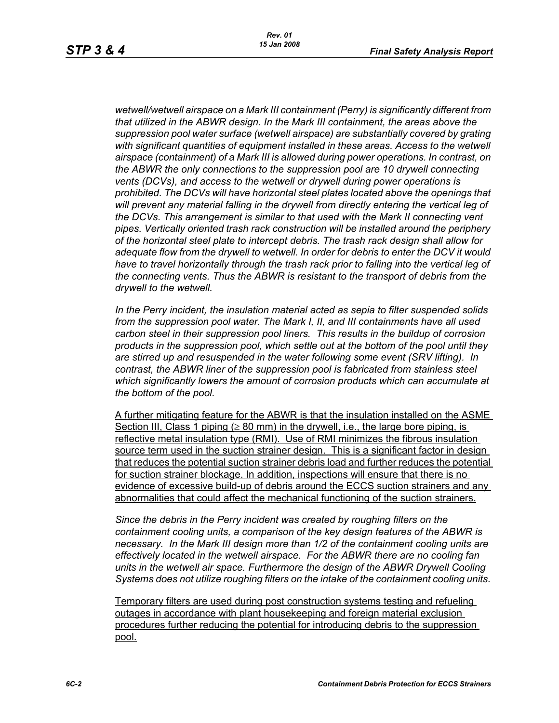*wetwell/wetwell airspace on a Mark III containment (Perry) is significantly different from that utilized in the ABWR design. In the Mark III containment, the areas above the suppression pool water surface (wetwell airspace) are substantially covered by grating with significant quantities of equipment installed in these areas. Access to the wetwell airspace (containment) of a Mark III is allowed during power operations. In contrast, on the ABWR the only connections to the suppression pool are 10 drywell connecting vents (DCVs), and access to the wetwell or drywell during power operations is prohibited. The DCVs will have horizontal steel plates located above the openings that will prevent any material falling in the drywell from directly entering the vertical leg of the DCVs. This arrangement is similar to that used with the Mark II connecting vent pipes. Vertically oriented trash rack construction will be installed around the periphery of the horizontal steel plate to intercept debris. The trash rack design shall allow for adequate flow from the drywell to wetwell. In order for debris to enter the DCV it would*  have to travel horizontally through the trash rack prior to falling into the vertical leg of *the connecting vents. Thus the ABWR is resistant to the transport of debris from the drywell to the wetwell.*

*In the Perry incident, the insulation material acted as sepia to filter suspended solids from the suppression pool water. The Mark I, II, and III containments have all used carbon steel in their suppression pool liners. This results in the buildup of corrosion products in the suppression pool, which settle out at the bottom of the pool until they are stirred up and resuspended in the water following some event (SRV lifting). In contrast, the ABWR liner of the suppression pool is fabricated from stainless steel which significantly lowers the amount of corrosion products which can accumulate at the bottom of the pool.* 

A further mitigating feature for the ABWR is that the insulation installed on the ASME Section III, Class 1 piping ( $\geq 80$  mm) in the drywell, i.e., the large bore piping, is reflective metal insulation type (RMI). Use of RMI minimizes the fibrous insulation source term used in the suction strainer design. This is a significant factor in design that reduces the potential suction strainer debris load and further reduces the potential for suction strainer blockage. In addition, inspections will ensure that there is no evidence of excessive build-up of debris around the ECCS suction strainers and any abnormalities that could affect the mechanical functioning of the suction strainers.

*Since the debris in the Perry incident was created by roughing filters on the containment cooling units, a comparison of the key design features of the ABWR is necessary. In the Mark III design more than 1/2 of the containment cooling units are effectively located in the wetwell airspace. For the ABWR there are no cooling fan units in the wetwell air space. Furthermore the design of the ABWR Drywell Cooling Systems does not utilize roughing filters on the intake of the containment cooling units.* 

Temporary filters are used during post construction systems testing and refueling outages in accordance with plant housekeeping and foreign material exclusion procedures further reducing the potential for introducing debris to the suppression pool.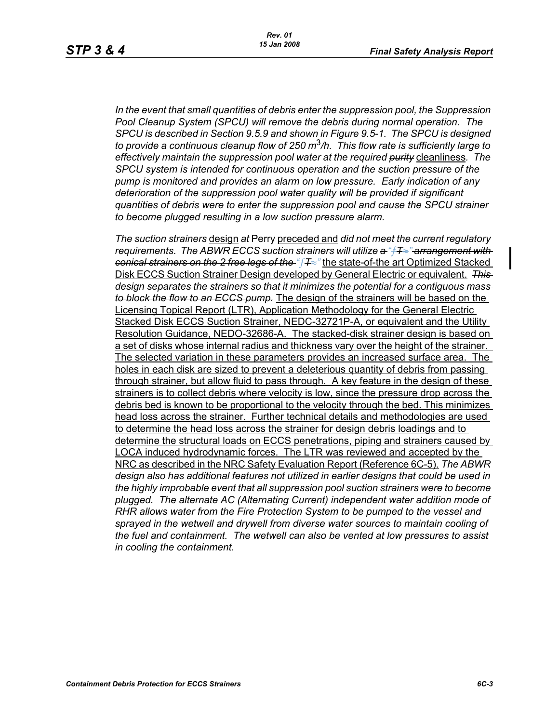*In the event that small quantities of debris enter the suppression pool, the Suppression Pool Cleanup System (SPCU) will remove the debris during normal operation. The SPCU is described in Section 9.5.9 and shown in Figure 9.5-1. The SPCU is designed to provide a continuous cleanup flow of 250 m*3*/h. This flow rate is sufficiently large to effectively maintain the suppression pool water at the required purity* cleanliness*. The SPCU system is intended for continuous operation and the suction pressure of the pump is monitored and provides an alarm on low pressure. Early indication of any deterioration of the suppression pool water quality will be provided if significant quantities of debris were to enter the suppression pool and cause the SPCU strainer to become plugged resulting in a low suction pressure alarm.* 

*The suction strainers* design *at* Perry preceded and *did not meet the current regulatory requirements. The ABWR ECCS suction strainers will utilize a "*ƒ*T*≈*" arrangement with conical strainers on the 2 free legs of the "*ƒ*T*≈*"* the state-of-the art Optimized Stacked Disk ECCS Suction Strainer Design developed by General Electric or equivalent. *This design separates the strainers so that it minimizes the potential for a contiguous mass to block the flow to an ECCS pump.* The design of the strainers will be based on the Licensing Topical Report (LTR), Application Methodology for the General Electric Stacked Disk ECCS Suction Strainer, NEDC-32721P-A, or equivalent and the Utility Resolution Guidance, NEDO-32686-A. The stacked-disk strainer design is based on a set of disks whose internal radius and thickness vary over the height of the strainer. The selected variation in these parameters provides an increased surface area. The holes in each disk are sized to prevent a deleterious quantity of debris from passing through strainer, but allow fluid to pass through. A key feature in the design of these strainers is to collect debris where velocity is low, since the pressure drop across the debris bed is known to be proportional to the velocity through the bed. This minimizes head loss across the strainer. Further technical details and methodologies are used to determine the head loss across the strainer for design debris loadings and to determine the structural loads on ECCS penetrations, piping and strainers caused by LOCA induced hydrodynamic forces. The LTR was reviewed and accepted by the NRC as described in the NRC Safety Evaluation Report (Reference 6C-5). *The ABWR design also has additional features not utilized in earlier designs that could be used in the highly improbable event that all suppression pool suction strainers were to become plugged. The alternate AC (Alternating Current) independent water addition mode of RHR allows water from the Fire Protection System to be pumped to the vessel and*  sprayed in the wetwell and drywell from diverse water sources to maintain cooling of *the fuel and containment. The wetwell can also be vented at low pressures to assist in cooling the containment.*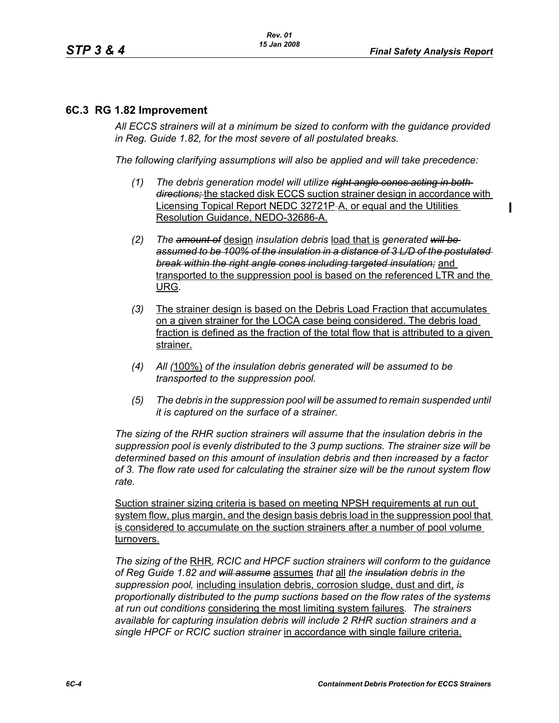# **6C.3 RG 1.82 Improvement**

*All ECCS strainers will at a minimum be sized to conform with the guidance provided in Reg. Guide 1.82, for the most severe of all postulated breaks.*

*The following clarifying assumptions will also be applied and will take precedence:*

- *(1) The debris generation model will utilize right angle cones acting in both directions;* the stacked disk ECCS suction strainer design in accordance with Licensing Topical Report NEDC 32721P-A, or equal and the Utilities Resolution Guidance, NEDO-32686-A.
- *(2) The amount of* design *insulation debris* load that is *generated will be assumed to be 100% of the insulation in a distance of 3 L/D of the postulated break within the right angle cones including targeted insulation;* and transported to the suppression pool is based on the referenced LTR and the URG.
- *(3)* The strainer design is based on the Debris Load Fraction that accumulates on a given strainer for the LOCA case being considered. The debris load fraction is defined as the fraction of the total flow that is attributed to a given strainer.
- *(4) All (*100%) *of the insulation debris generated will be assumed to be transported to the suppression pool.*
- *(5) The debris in the suppression pool will be assumed to remain suspended until it is captured on the surface of a strainer.*

*The sizing of the RHR suction strainers will assume that the insulation debris in the suppression pool is evenly distributed to the 3 pump suctions. The strainer size will be determined based on this amount of insulation debris and then increased by a factor of 3. The flow rate used for calculating the strainer size will be the runout system flow rate.*

Suction strainer sizing criteria is based on meeting NPSH requirements at run out system flow, plus margin, and the design basis debris load in the suppression pool that is considered to accumulate on the suction strainers after a number of pool volume turnovers.

*The sizing of the* RHR*, RCIC and HPCF suction strainers will conform to the guidance of Reg Guide 1.82 and will assume* assumes *that* all *the insulation debris in the suppression pool,* including insulation debris, corrosion sludge, dust and dirt, *is proportionally distributed to the pump suctions based on the flow rates of the systems at run out conditions* considering the most limiting system failures*. The strainers available for capturing insulation debris will include 2 RHR suction strainers and a single HPCF or RCIC suction strainer* in accordance with single failure criteria.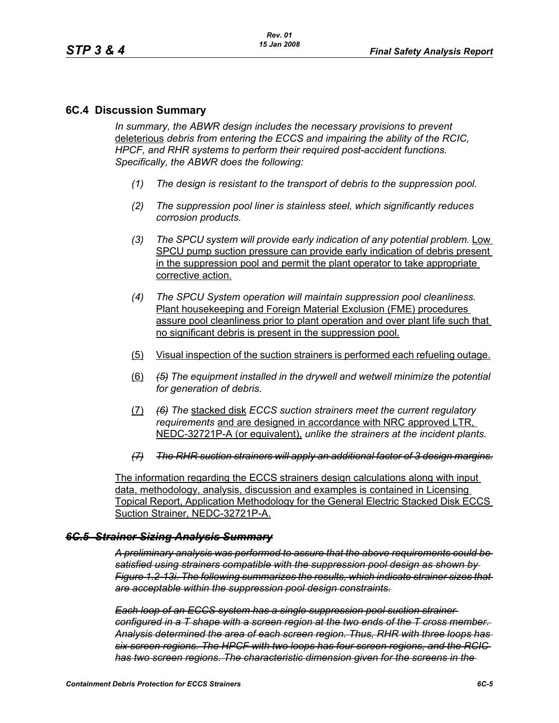## **6C.4 Discussion Summary**

*In summary, the ABWR design includes the necessary provisions to prevent*  deleterious *debris from entering the ECCS and impairing the ability of the RCIC, HPCF, and RHR systems to perform their required post-accident functions. Specifically, the ABWR does the following:*

- *(1) The design is resistant to the transport of debris to the suppression pool.*
- *(2) The suppression pool liner is stainless steel, which significantly reduces corrosion products.*
- *(3) The SPCU system will provide early indication of any potential problem.* Low SPCU pump suction pressure can provide early indication of debris present in the suppression pool and permit the plant operator to take appropriate corrective action.
- *(4) The SPCU System operation will maintain suppression pool cleanliness.*  Plant housekeeping and Foreign Material Exclusion (FME) procedures assure pool cleanliness prior to plant operation and over plant life such that no significant debris is present in the suppression pool.
- (5) Visual inspection of the suction strainers is performed each refueling outage.
- (6) *(5) The equipment installed in the drywell and wetwell minimize the potential for generation of debris.*
- (7) *(6) The* stacked disk *ECCS suction strainers meet the current regulatory requirements* and are designed in accordance with NRC approved LTR, NEDC-32721P-A (or equivalent), *unlike the strainers at the incident plants.*
- *(7) The RHR suction strainers will apply an additional factor of 3 design margins.*

The information regarding the ECCS strainers design calculations along with input data, methodology, analysis, discussion and examples is contained in Licensing Topical Report, Application Methodology for the General Electric Stacked Disk ECCS Suction Strainer, NEDC-32721P-A.

### *6C.5 Strainer Sizing Analysis Summary*

*A preliminary analysis was performed to assure that the above requirements could be satisfied using strainers compatible with the suppression pool design as shown by Figure 1.2-13i. The following summarizes the results, which indicate strainer sizes that are acceptable within the suppression pool design constraints.*

*Each loop of an ECCS system has a single suppression pool suction strainer configured in a T shape with a screen region at the two ends of the T cross member. Analysis determined the area of each screen region. Thus, RHR with three loops has six screen regions. The HPCF with two loops has four screen regions, and the RCIC has two screen regions. The characteristic dimension given for the screens in the*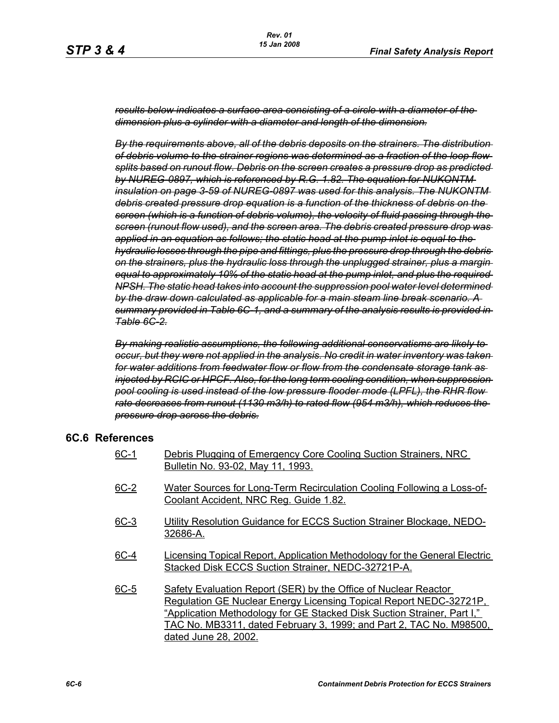*results below indicates a surface area consisting of a circle with a diameter of the dimension plus a cylinder with a diameter and length of the dimension.*

*By the requirements above, all of the debris deposits on the strainers. The distribution of debris volume to the strainer regions was determined as a fraction of the loop flow splits based on runout flow. Debris on the screen creates a pressure drop as predicted by NUREG-0897, which is referenced by R.G. 1.82. The equation for NUKONTM insulation on page 3-59 of NUREG-0897 was used for this analysis. The NUKONTM debris created pressure drop equation is a function of the thickness of debris on the screen (which is a function of debris volume), the velocity of fluid passing through the screen (runout flow used), and the screen area. The debris created pressure drop was applied in an equation as follows; the static head at the pump inlet is equal to the hydraulic losses through the pipe and fittings, plus the pressure drop through the debris on the strainers, plus the hydraulic loss through the unplugged strainer, plus a margin equal to approximately 10% of the static head at the pump inlet, and plus the required NPSH. The static head takes into account the suppression pool water level determined by the draw down calculated as applicable for a main steam line break scenario. A summary provided in Table 6C-1, and a summary of the analysis results is provided in Table 6C-2.*

*By making realistic assumptions, the following additional conservatisms are likely to occur, but they were not applied in the analysis. No credit in water inventory was taken for water additions from feedwater flow or flow from the condensate storage tank as injected by RCIC or HPCF. Also, for the long term cooling condition, when suppression pool cooling is used instead of the low pressure flooder mode (LPFL), the RHR flow rate decreases from runout (1130 m3/h) to rated flow (954 m3/h), which reduces the pressure drop across the debris.*

## **6C.6 References**

- 6C-1 Debris Plugging of Emergency Core Cooling Suction Strainers, NRC Bulletin No. 93-02, May 11, 1993.
- 6C-2 Water Sources for Long-Term Recirculation Cooling Following a Loss-of-Coolant Accident, NRC Reg. Guide 1.82.
- 6C-3 Utility Resolution Guidance for ECCS Suction Strainer Blockage, NEDO-32686-A.
- 6C-4 Licensing Topical Report, Application Methodology for the General Electric Stacked Disk ECCS Suction Strainer, NEDC-32721P-A.
- 6C-5 Safety Evaluation Report (SER) by the Office of Nuclear Reactor Regulation GE Nuclear Energy Licensing Topical Report NEDC-32721P, "Application Methodology for GE Stacked Disk Suction Strainer, Part I," TAC No. MB3311, dated February 3, 1999; and Part 2, TAC No. M98500, dated June 28, 2002.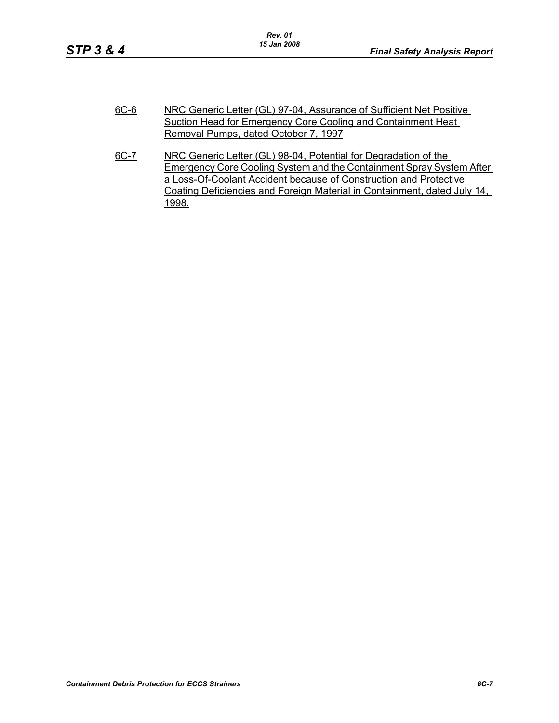| $6C-6$ | NRC Generic Letter (GL) 97-04, Assurance of Sufficient Net Positive  |
|--------|----------------------------------------------------------------------|
|        | Suction Head for Emergency Core Cooling and Containment Heat         |
|        | Removal Pumps, dated October 7, 1997                                 |
| 6C-7   | NRC Generic Letter (GL) 98-04. Potential for Degradation of the      |
|        | Emergency Caro Cooling System and the Containment Saray System After |

Emergency Core Cooling System and the Containment Spray System After a Loss-Of-Coolant Accident because of Construction and Protective Coating Deficiencies and Foreign Material in Containment, dated July 14, 1998.